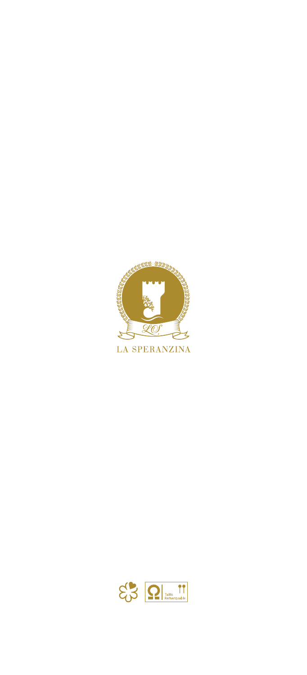

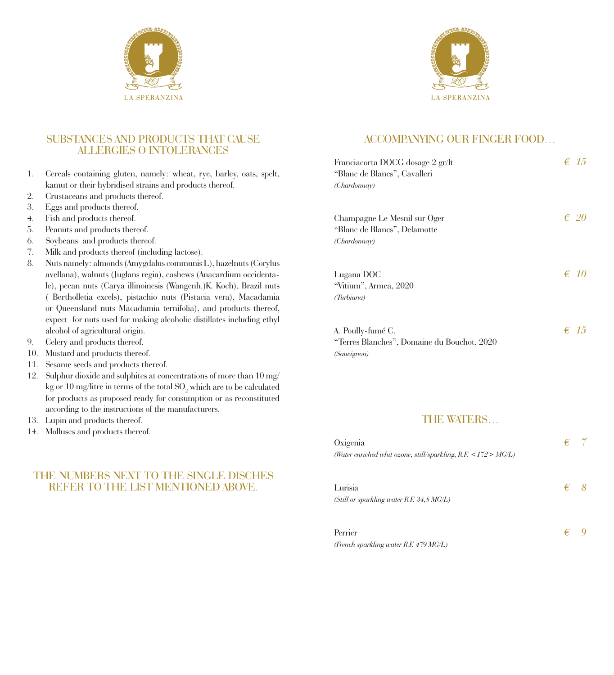



### SUBSTANCES AND PRODUCTS THAT CAUSE ALLERGIES O INTOLERANCES

- 1. Cereals containing gluten, namely: wheat, rye, barley, oats, spelt, kamut or their hybridised strains and products thereof.
- 2. Crustaceans and products thereof.
- 3. Eggs and products thereof.
- 4. Fish and products thereof.
- 5. Peanuts and products thereof.
- 6. Soybeans and products thereof.
- 7. Milk and products thereof (including lactose).
- 8. Nuts namely: almonds (Amygdalus communis L), hazelnuts (Corylus avellana), walnuts (Juglans regia), cashews (Anacardium occidentale), pecan nuts (Carya illinoinesis (Wangenh.)K. Koch), Brazil nuts ( Bertholletia excels), pistachio nuts (Pistacia vera), Macadamia or Queensland nuts Macadamia ternifolia), and products thereof, expect for nuts used for making alcoholic distillates including ethyl alcohol of agricultural origin.
- 9. Celery and products thereof.
- 10. Mustard and products thereof.
- 11. Sesame seeds and products thereof.
- 12. Sulphur dioxide and sulphites at concentrations of more than 10 mg/ kg or 10 mg/litre in terms of the total  $\mathrm{SO}_2$  which are to be calculated for products as proposed ready for consumption or as reconstituted according to the instructions of the manufacturers.
- 13. Lupin and products thereof.
- 14. Molluscs and products thereof.

## THE NUMBERS NEXT TO THE SINGLE DISCHES REFER TO THE LIST MENTIONED ABOVE.

### ACCOMPANYING OUR FINGER FOOD…

| Franciacorta DOCG dosage 2 gr/lt<br>"Blanc de Blancs", Cavalleri<br>(Chardonnay) | $\epsilon$ 1.5 |
|----------------------------------------------------------------------------------|----------------|
| Champagne Le Mesnil sur Oger<br>"Blanc de Blancs", Delamotte<br>(Chardonnay)     | € 20           |
| Lugana DOC<br>"Vitium", Armea, 2020<br>(Turbiana)                                | $\epsilon$ 10  |
| A. Poully-fumé C.<br>"Terres Blanches", Domaine du Bouchot, 2020<br>(Sauvignon)  | $\epsilon$ 15  |

#### THE WATERS…

| Oxigenia<br>(Water enriched whit ozone, still/sparkling, $R.F. \leq 172 > MG/L$ ) |   |  |
|-----------------------------------------------------------------------------------|---|--|
| Lurisia<br>(Still or sparkling water R.F. $34,8$ MG/L)                            | € |  |
| Perrier<br>(French sparkling water R.F. 479 MG/L)                                 | € |  |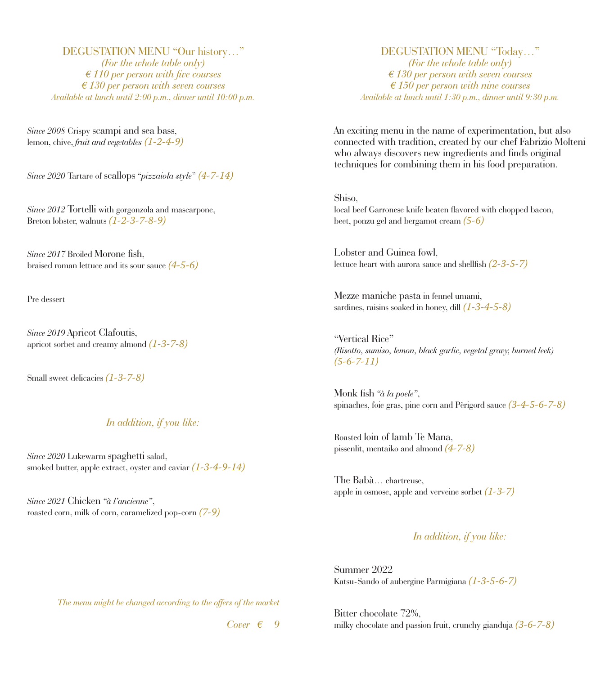DEGUSTATION MENU "Our history…" *(For the whole table only) € 110 per person with five courses € 130 per person with seven courses Available at lunch until 2:00 p.m., dinner until 10:00 p.m.*

*Since 2008* Crispy scampi and sea bass, lemon, chive, *fruit and vegetables (1-2-4-9)*

*Since 2020* Tartare of scallops "*pizzaiola style*" *(4-7-14)*

*Since 2012* Tortelli with gorgonzola and mascarpone, Breton lobster, walnuts *(1-2-3-7-8-9)*

*Since 2017* Broiled Morone fish, braised roman lettuce and its sour sauce *(4-5-6)*

Pre dessert

*Since 2019* Apricot Clafoutis, apricot sorbet and creamy almond *(1-3-7-8)*

Small sweet delicacies *(1-3-7-8)*

#### *In addition, if you like:*

*Since 2020* Lukewarm spaghetti salad, smoked butter, apple extract, oyster and caviar *(1-3-4-9-14)*

*Since 2021* Chicken *"à l'ancienne"*, roasted corn, milk of corn, caramelized pop-corn *(7-9)*

## DEGUSTATION MENU "Today…"

*(For the whole table only) € 130 per person with seven courses € 150 per person with nine courses Available at lunch until 1:30 p.m., dinner until 9:30 p.m.*

An exciting menu in the name of experimentation, but also connected with tradition, created by our chef Fabrizio Molteni who always discovers new ingredients and finds original techniques for combining them in his food preparation.

Shiso, local beef Garronese knife beaten flavored with chopped bacon, beet, ponzu gel and bergamot cream *(5-6)*

Lobster and Guinea fowl, lettuce heart with aurora sauce and shellfish *(2-3-5-7)*

Mezze maniche pasta in fennel umami, sardines, raisins soaked in honey, dill *(1-3-4-5-8)*

"Vertical Rice" *(Risotto, sumiso, lemon, black garlic, vegetal gravy, burned leek) (5-6-7-11)*

Monk fish *"à la poele"*, spinaches, foie gras, pine corn and Pèrigord sauce *(3-4-5-6-7-8)*

Roasted loin of lamb Te Mana, pissenlit, mentaiko and almond *(4-7-8)*

The Babà… chartreuse, apple in osmose, apple and verveine sorbet *(1-3-7)*

### *In addition, if you like:*

Summer 2022 Katsu-Sando of aubergine Parmigiana *(1-3-5-6-7)*

*The menu might be changed according to the offers of the market*

*Cover € 9*

Bitter chocolate 72%, milky chocolate and passion fruit, crunchy gianduja *(3-6-7-8)*